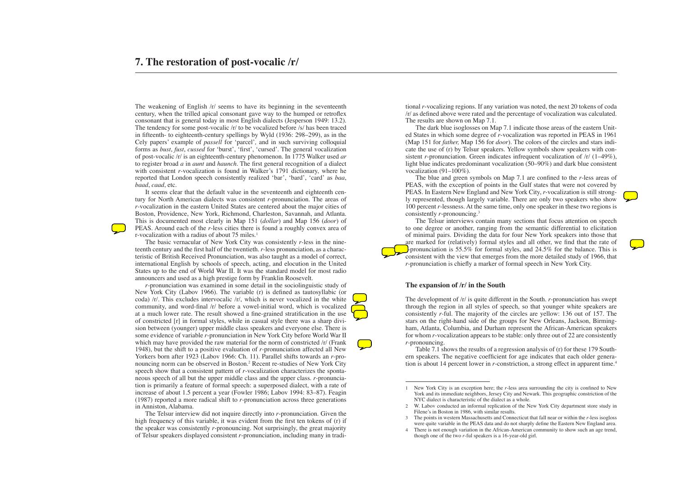The weakening of English /r/ seems to have its beginning in the seventeenth century, when the trilled apical consonant gave way to the humped or retroflex consonant that is general today in most English dialects (Jesperson 1949: 13.2). The tendency for some post-vocalic /r/ to be vocalized before /s/ has been traced in fifteenth- to eighteenth-century spellings by Wyld (1936: 298–299), as in the Cely papers' example of *passell* for ʻparcel'*,* and in such surviving colloquial forms as *bust*, *fust*, *cussed* for ʻburst', ʻfirst', ʻcursed'. The general vocalization of post-vocalic /r/ is an eighteenth-century phenomenon. In 1775 Walker used *ar*  to register broad *a* in *aunt* and *haunch*. The first general recognition of a dialect with consistent *r-*vocalization is found in Walker's 1791 dictionary, where he reported that London speech consistently realized ʻbar', ʻbard', ʻcard' as *baa*, *baad*, *caad*, etc.

It seems clear that the default value in the seventeenth and eighteenth century for North American dialects was consistent *r-*pronunciation. The areas of *r-*vocalization in the eastern United States are centered about the major cities of Boston, Providence, New York, Richmond, Charleston, Savannah, and Atlanta. This is documented most clearly in Map 151 (*dollar*) and Map 156 (*door*) of PEAS. Around each of the *r-*less cities there is found a roughly convex area of r-vocalization with a radius of about 75 miles.<sup>1</sup>

The basic vernacular of New York City was consistently *r-*less in the nineteenth century and the first half of the twentieth. *r-*less pronunciation, as a characteristic of British Received Pronunciation, was also taught as a model of correct, international English by schools of speech, acting, and elocution in the United States up to the end of World War II. It was the standard model for most radio announcers and used as a high prestige form by Franklin Roosevelt.

*r-*pronunciation was examined in some detail in the sociolinguistic study of New York City (Labov 1966). The variable (r) is defined as tautosyllabic (or coda)  $/r$ . This excludes intervocalic  $/r$ , which is never vocalized in the white community, and word-final /r/ before a vowel-initial word, which is vocalized at a much lower rate. The result showed a fine-grained stratification in the use of constricted [r] in formal styles, while in casual style there was a sharp division between (younger) upper middle class speakers and everyone else. There is some evidence of variable *r*-pronunciation in New York City before World War II which may have provided the raw material for the norm of constricted /r/ (Frank 1948), but the shift to a positive evaluation of *r-*pronunciation affected all New Yorkers born after 1923 (Labov 1966: Ch. 11). Parallel shifts towards an *r-*pronouncing norm can be observed in Boston.2 Recent re-studies of New York City speech show that a consistent pattern of *r-*vocalization characterizes the spontaneous speech of all but the upper middle class and the upper class. *r-*pronunciation is primarily a feature of formal speech: a superposed dialect, with a rate of increase of about 1.5 percent a year (Fowler 1986; Labov 1994: 83–87). Feagin (1987) reported a more radical shift to *r-*pronunciation across three generations in Anniston, Alabama.

Table 7.1 shows the results of a regression analysis of (r) for these 179 Southern speakers. The negative coefficient for age indicates that each older generation is about 14 percent lower in *r*-constriction, a strong effect in apparent time.<sup>4</sup>

The Telsur interview did not inquire directly into *r*-pronunciation. Given the high frequency of this variable, it was evident from the first ten tokens of (r) if the speaker was consistently *r-*pronouncing. Not surprisingly, the great majority of Telsur speakers displayed consistent *r*-pronunciation, including many in traditional *r*-vocalizing regions. If any variation was noted, the next 20 tokens of coda /r/ as defined above were rated and the percentage of vocalization was calculated. The results are shown on Map 7.1.

The dark blue isoglosses on Map 7.1 indicate those areas of the eastern United States in which some degree of *r*-vocalization was reported in PEAS in 1961 (Map 151 for *father,* Map 156 for *door*). The colors of the circles and stars indicate the use of (r) by Telsur speakers. Yellow symbols show speakers with consistent *r-*pronunciation. Green indicates infrequent vocalization of /r/ (1–49%), light blue indicates predominant vocalization (50–90%) and dark blue consistent vocalization (91–100%).

The blue and green symbols on Map 7.1 are confined to the *r-*less areas of PEAS, with the exception of points in the Gulf states that were not covered by PEAS. In Eastern New England and New York City, *r-*vocalization is still strongly represented, though largely variable. There are only two speakers who show 100 percent *r-*lessness. At the same time, only one speaker in these two regions is consistently *r*-pronouncing.3

The Telsur interviews contain many sections that focus attention on speech to one degree or another, ranging from the semantic differential to elicitation of minimal pairs. Dividing the data for four New York speakers into those that are marked for (relatively) formal styles and all other, we find that the rate of *r-*pronunciation is 55.5% for formal styles, and 24.5% for the balance. This is consistent with the view that emerges from the more detailed study of 1966, that *r-*pronunciation is chiefly a marker of formal speech in New York City.

## **The expansion of /r/ in the South**

The development of /r/ is quite different in the South. *r-*pronunciation has swept through the region in all styles of speech, so that younger white speakers are consistently *r-*ful. The majority of the circles are yellow: 136 out of 157. The stars on the right-hand side of the groups for New Orleans, Jackson, Birmingham, Atlanta, Columbia, and Durham represent the African-American speakers for whom *r*-vocalization appears to be stable: only three out of 22 are consistently *r-*pronouncing.





<sup>1</sup> New York City is an exception here; the *r*-less area surrounding the city is confined to New York and its immediate neighbors, Jersey City and Newark. This geographic constriction of the NYC dialect is characteristic of the dialect as a whole.

<sup>2</sup> W. Labov conducted an informal replication of the New York City department store study in Filene's in Boston in 1986, with similar results.

<sup>3</sup> The points in western Massachusetts and Connecticut that fall near or within the *r-*less isogloss were quite variable in the PEAS data and do not sharply define the Eastern New England area.

<sup>4</sup> There is not enough variation in the African-American community to show such an age trend, though one of the two *r*-ful speakers is a 16-year-old girl.